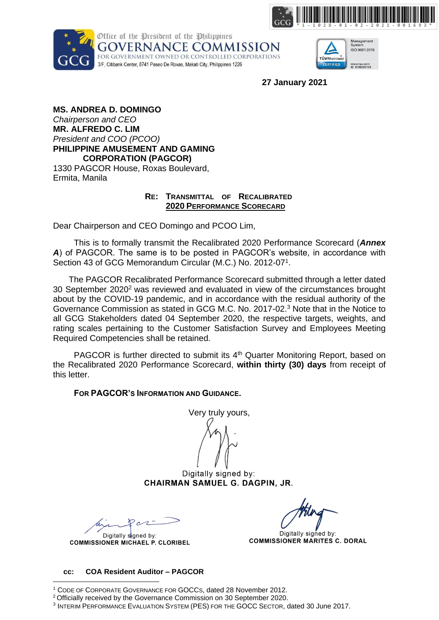





**27 January 2021**

**MS. ANDREA D. DOMINGO** *Chairperson and CEO* **MR. ALFREDO C. LIM** *President and COO (PCOO)* **PHILIPPINE AMUSEMENT AND GAMING CORPORATION (PAGCOR)** 1330 PAGCOR House, Roxas Boulevard, Ermita, Manila

## **RE: TRANSMITTAL OF RECALIBRATED 2020 PERFORMANCE SCORECARD**

Dear Chairperson and CEO Domingo and PCOO Lim,

This is to formally transmit the Recalibrated 2020 Performance Scorecard (*Annex A*) of PAGCOR. The same is to be posted in PAGCOR's website, in accordance with Section 43 of GCG Memorandum Circular (M.C.) No. 2012-07<sup>1</sup>.

The PAGCOR Recalibrated Performance Scorecard submitted through a letter dated 30 September 2020<sup>2</sup> was reviewed and evaluated in view of the circumstances brought about by the COVID-19 pandemic, and in accordance with the residual authority of the Governance Commission as stated in GCG M.C. No. 2017-02.<sup>3</sup> Note that in the Notice to all GCG Stakeholders dated 04 September 2020, the respective targets, weights, and rating scales pertaining to the Customer Satisfaction Survey and Employees Meeting Required Competencies shall be retained.

PAGCOR is further directed to submit its 4<sup>th</sup> Quarter Monitoring Report, based on the Recalibrated 2020 Performance Scorecard, **within thirty (30) days** from receipt of this letter.

**FOR PAGCOR'S INFORMATION AND GUIDANCE.** 

Very truly yours,

Digitally signed by: CHAIRMAN SAMUEL G. DAGPIN, JR.

Digitally signed by: **COMMISSIONER MICHAEL P. CLORIBEL** 

Digitally signed by: **COMMISSIONER MARITES C. DORAL** 

#### **cc: COA Resident Auditor – PAGCOR**

<sup>1</sup> CODE OF CORPORATE GOVERNANCE FOR GOCCS, dated 28 November 2012.

<sup>2</sup>Officially received by the Governance Commission on 30 September 2020.

<sup>3</sup> INTERIM PERFORMANCE EVALUATION SYSTEM (PES) FOR THE GOCC SECTOR, dated 30 June 2017.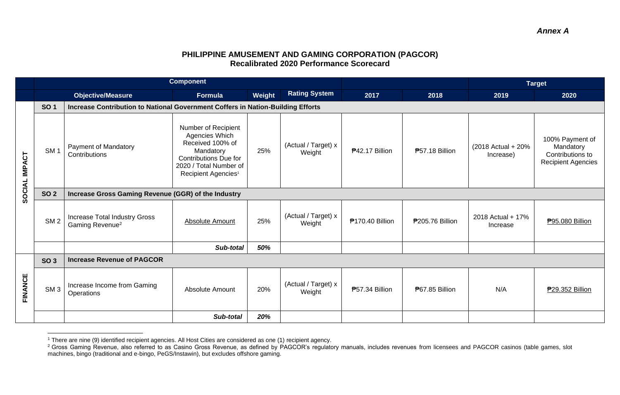# **PHILIPPINE AMUSEMENT AND GAMING CORPORATION (PAGCOR) Recalibrated 2020 Performance Scorecard**

|               | <b>Component</b> |                                                                                 |                                                                                                                                                                     |        |                               |                        |                       | <b>Target</b>                    |                                                                               |  |
|---------------|------------------|---------------------------------------------------------------------------------|---------------------------------------------------------------------------------------------------------------------------------------------------------------------|--------|-------------------------------|------------------------|-----------------------|----------------------------------|-------------------------------------------------------------------------------|--|
|               |                  | <b>Objective/Measure</b>                                                        | Formula                                                                                                                                                             | Weight | <b>Rating System</b>          | 2017                   | 2018                  | 2019                             | 2020                                                                          |  |
|               | <b>SO1</b>       | Increase Contribution to National Government Coffers in Nation-Building Efforts |                                                                                                                                                                     |        |                               |                        |                       |                                  |                                                                               |  |
| SOCIAL IMPACT | SM <sub>1</sub>  | <b>Payment of Mandatory</b><br>Contributions                                    | Number of Recipient<br>Agencies Which<br>Received 100% of<br>Mandatory<br><b>Contributions Due for</b><br>2020 / Total Number of<br>Recipient Agencies <sup>1</sup> | 25%    | (Actual / Target) x<br>Weight | ₱42.17 Billion         | <b>P57.18 Billion</b> | (2018 Actual + 20%)<br>Increase) | 100% Payment of<br>Mandatory<br>Contributions to<br><b>Recipient Agencies</b> |  |
|               | <b>SO 2</b>      | Increase Gross Gaming Revenue (GGR) of the Industry                             |                                                                                                                                                                     |        |                               |                        |                       |                                  |                                                                               |  |
|               | SM <sub>2</sub>  | Increase Total Industry Gross<br>Gaming Revenue <sup>2</sup>                    | Absolute Amount                                                                                                                                                     | 25%    | (Actual / Target) x<br>Weight | <b>₱170.40 Billion</b> | ₱205.76 Billion       | 2018 Actual + 17%<br>Increase    | ₱95.080 Billion                                                               |  |
|               |                  |                                                                                 | Sub-total                                                                                                                                                           | 50%    |                               |                        |                       |                                  |                                                                               |  |
| FINANCE       | <b>SO 3</b>      | <b>Increase Revenue of PAGCOR</b>                                               |                                                                                                                                                                     |        |                               |                        |                       |                                  |                                                                               |  |
|               | SM <sub>3</sub>  | Increase Income from Gaming<br>Operations                                       | Absolute Amount                                                                                                                                                     | 20%    | (Actual / Target) x<br>Weight | P57.34 Billion         | <b>P67.85 Billion</b> | N/A                              | ₱29.352 Billion                                                               |  |
|               |                  |                                                                                 | Sub-total                                                                                                                                                           | 20%    |                               |                        |                       |                                  |                                                                               |  |

<sup>1</sup> There are nine (9) identified recipient agencies. All Host Cities are considered as one (1) recipient agency.

<sup>&</sup>lt;sup>2</sup> Gross Gaming Revenue, also referred to as Casino Gross Revenue, as defined by PAGCOR's regulatory manuals, includes revenues from licensees and PAGCOR casinos (table games, slot machines, bingo (traditional and e-bingo, PeGS/Instawin), but excludes offshore gaming.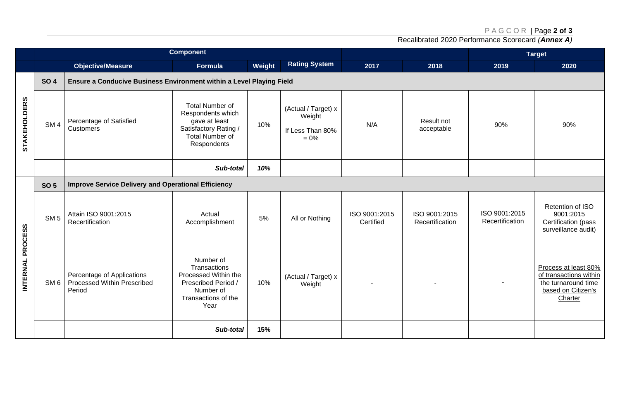### P A G C O R | Page **2 of 3**

Recalibrated 2020 Performance Scorecard *(Annex A)*

| <b>Component</b>    |                 |                                                                      |                                                                                                                                |        |                                                              |                            |                                  | <b>Target</b>                    |                                                                                                        |  |
|---------------------|-----------------|----------------------------------------------------------------------|--------------------------------------------------------------------------------------------------------------------------------|--------|--------------------------------------------------------------|----------------------------|----------------------------------|----------------------------------|--------------------------------------------------------------------------------------------------------|--|
|                     |                 | <b>Objective/Measure</b>                                             | Formula                                                                                                                        | Weight | <b>Rating System</b>                                         | 2017                       | 2018                             | 2019                             | 2020                                                                                                   |  |
|                     | <b>SO 4</b>     | Ensure a Conducive Business Environment within a Level Playing Field |                                                                                                                                |        |                                                              |                            |                                  |                                  |                                                                                                        |  |
| <b>STAKEHOLDERS</b> | SM <sub>4</sub> | Percentage of Satisfied<br><b>Customers</b>                          | <b>Total Number of</b><br>Respondents which<br>gave at least<br>Satisfactory Rating /<br><b>Total Number of</b><br>Respondents | 10%    | (Actual / Target) x<br>Weight<br>If Less Than 80%<br>$= 0\%$ | N/A                        | Result not<br>acceptable         | 90%                              | 90%                                                                                                    |  |
|                     |                 |                                                                      | Sub-total                                                                                                                      | 10%    |                                                              |                            |                                  |                                  |                                                                                                        |  |
| INTERNAL PROCESS    | <b>SO 5</b>     | <b>Improve Service Delivery and Operational Efficiency</b>           |                                                                                                                                |        |                                                              |                            |                                  |                                  |                                                                                                        |  |
|                     | SM <sub>5</sub> | Attain ISO 9001:2015<br>Recertification                              | Actual<br>Accomplishment                                                                                                       | 5%     | All or Nothing                                               | ISO 9001:2015<br>Certified | ISO 9001:2015<br>Recertification | ISO 9001:2015<br>Recertification | Retention of ISO<br>9001:2015<br>Certification (pass<br>surveillance audit)                            |  |
|                     | SM <sub>6</sub> | Percentage of Applications<br>Processed Within Prescribed<br>Period  | Number of<br>Transactions<br>Processed Within the<br>Prescribed Period /<br>Number of<br>Transactions of the<br>Year           | 10%    | (Actual / Target) x<br>Weight                                | $\blacksquare$             |                                  |                                  | Process at least 80%<br>of transactions within<br>the turnaround time<br>based on Citizen's<br>Charter |  |
|                     |                 |                                                                      | Sub-total                                                                                                                      | 15%    |                                                              |                            |                                  |                                  |                                                                                                        |  |